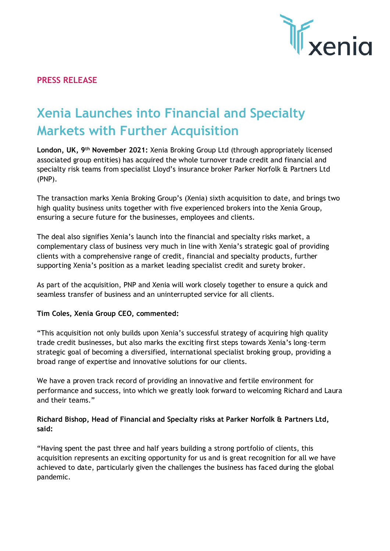

# **PRESS RELEASE**

# **Xenia Launches into Financial and Specialty Markets with Further Acquisition**

**London, UK, 9th November 2021:** Xenia Broking Group Ltd (through appropriately licensed associated group entities) has acquired the whole turnover trade credit and financial and specialty risk teams from specialist Lloyd's insurance broker Parker Norfolk & Partners Ltd (PNP).

The transaction marks Xenia Broking Group's (Xenia) sixth acquisition to date, and brings two high quality business units together with five experienced brokers into the Xenia Group, ensuring a secure future for the businesses, employees and clients.

The deal also signifies Xenia's launch into the financial and specialty risks market, a complementary class of business very much in line with Xenia's strategic goal of providing clients with a comprehensive range of credit, financial and specialty products, further supporting Xenia's position as a market leading specialist credit and surety broker.

As part of the acquisition, PNP and Xenia will work closely together to ensure a quick and seamless transfer of business and an uninterrupted service for all clients.

### **Tim Coles, Xenia Group CEO, commented:**

"This acquisition not only builds upon Xenia's successful strategy of acquiring high quality trade credit businesses, but also marks the exciting first steps towards Xenia's long-term strategic goal of becoming a diversified, international specialist broking group, providing a broad range of expertise and innovative solutions for our clients.

We have a proven track record of providing an innovative and fertile environment for performance and success, into which we greatly look forward to welcoming Richard and Laura and their teams."

# **Richard Bishop, Head of Financial and Specialty risks at Parker Norfolk & Partners Ltd, said:**

"Having spent the past three and half years building a strong portfolio of clients, this acquisition represents an exciting opportunity for us and is great recognition for all we have achieved to date, particularly given the challenges the business has faced during the global pandemic.